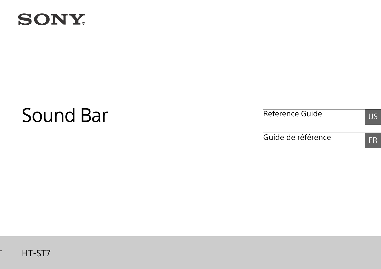

-

# Sound Bar

Reference Guide US

Guide de référence FR

# **SONY**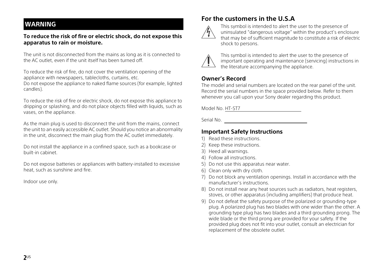# **WARNING**

### **To reduce the risk of fire or electric shock, do not expose this apparatus to rain or moisture.**

The unit is not disconnected from the mains as long as it is connected to the AC outlet, even if the unit itself has been turned off.

To reduce the risk of fire, do not cover the ventilation opening of the appliance with newspapers, tablecloths, curtains, etc.

Do not expose the appliance to naked flame sources (for example, lighted candles).

To reduce the risk of fire or electric shock, do not expose this appliance to dripping or splashing, and do not place objects filled with liquids, such as vases, on the appliance.

As the main plug is used to disconnect the unit from the mains, connect the unit to an easily accessible AC outlet. Should you notice an abnormality in the unit, disconnect the main plug from the AC outlet immediately.

Do not install the appliance in a confined space, such as a bookcase or built-in cabinet.

Do not expose batteries or appliances with battery-installed to excessive heat, such as sunshine and fire.

Indoor use only.

# **For the customers in the U.S.A**



This symbol is intended to alert the user to the presence of uninsulated "dangerous voltage" within the product's enclosure that may be of sufficient magnitude to constitute a risk of electric shock to persons.



This symbol is intended to alert the user to the presence of important operating and maintenance (servicing) instructions in the literature accompanying the appliance.

# **Owner's Record**

The model and serial numbers are located on the rear panel of the unit. Record the serial numbers in the space provided below. Refer to them whenever you call upon your Sony dealer regarding this product.

Model No. HT-ST7

Serial No.

# **Important Safety Instructions**

- 1) Read these instructions.
- 2) Keep these instructions.
- 3) Heed all warnings.
- 4) Follow all instructions.
- 5) Do not use this apparatus near water.
- 6) Clean only with dry cloth.
- 7) Do not block any ventilation openings. Install in accordance with the manufacturer's instructions.
- 8) Do not install near any heat sources such as radiators, heat registers, stoves, or other apparatus (including amplifiers) that produce heat.
- 9) Do not defeat the safety purpose of the polarized or grounding-type plug. A polarized plug has two blades with one wider than the other. A grounding type plug has two blades and a third grounding prong. The wide blade or the third prong are provided for your safety. If the provided plug does not fit into your outlet, consult an electrician for replacement of the obsolete outlet.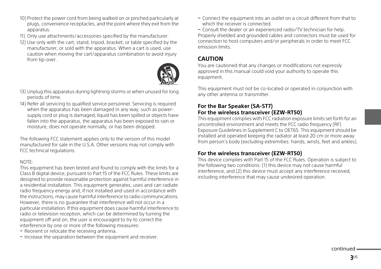- 10) Protect the power cord from being walked on or pinched particularly at plugs, convenience receptacles, and the point where they exit from the apparatus.
- 11) Only use attachments/accessories specified by the manufacturer.
- 12) Use only with the cart, stand, tripod, bracket, or table specified by the manufacturer, or sold with the apparatus. When a cart is used, use caution when moving the cart/apparatus combination to avoid injury from tip-over.



- 13) Unplug this apparatus during lightning storms or when unused for long periods of time.
- 14) Refer all servicing to qualified service personnel. Servicing is required when the apparatus has been damaged in any way, such as powersupply cord or plug is damaged, liquid has been spilled or objects have fallen into the apparatus, the apparatus has been exposed to rain or moisture, does not operate normally, or has been dropped.

The following FCC statement applies only to the version of this model manufactured for sale in the U.S.A. Other versions may not comply with FCC technical regulations.

### NOTE:

This equipment has been tested and found to comply with the limits for a Class B digital device, pursuant to Part 15 of the FCC Rules. These limits are designed to provide reasonable protection against harmful interference in a residential installation. This equipment generates, uses and can radiate radio frequency energy and, if not installed and used in accordance with the instructions, may cause harmful interference to radio communications. However, there is no guarantee that interference will not occur in a particular installation. If this equipment does cause harmful interference to radio or television reception, which can be determined by turning the equipment off and on, the user is encouraged to try to correct the interference by one or more of the following measures:

- Reorient or relocate the receiving antenna.
- $-$  Increase the separation between the equipment and receiver.

 Connect the equipment into an outlet on a circuit different from that to which the receiver is connected.

 Consult the dealer or an experienced radio/TV technician for help. Properly shielded and grounded cables and connectors must be used for connection to host computers and/or peripherals in order to meet FCC emission limits.

# **CAUTION**

You are cautioned that any changes or modifications not expressly approved in this manual could void your authority to operate this equipment.

This equipment must not be co-located or operated in conjunction with any other antenna or transmitter.

## **For the Bar Speaker (SA-ST7) For the wireless transceiver (EZW-RT50)**

This equipment complies with FCC radiation exposure limits set forth for an uncontrolled environment and meets the FCC radio frequency (RF) Exposure Guidelines in Supplement C to OET65. This equipment should be installed and operated keeping the radiator at least 20 cm or more away from person's body (excluding extremities: hands, wrists, feet and ankles).

# **For the wireless transceiver (EZW-RT50)**

This device complies with Part 15 of the FCC Rules. Operation is subject to the following two conditions: (1) this device may not cause harmful interference, and (2) this device must accept any interference received, including interference that may cause undesired operation.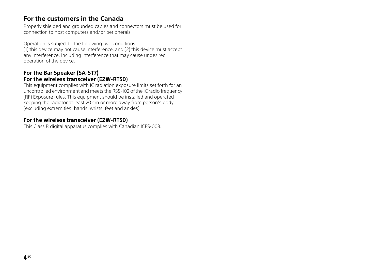# **For the customers in the Canada**

Properly shielded and grounded cables and connectors must be used for connection to host computers and/or peripherals.

Operation is subject to the following two conditions: (1) this device may not cause interference, and (2) this device must accept any interference, including interference that may cause undesired operation of the device.

## **For the Bar Speaker (SA-ST7) For the wireless transceiver (EZW-RT50)**

This equipment complies with IC radiation exposure limits set forth for an uncontrolled environment and meets the RSS-102 of the IC radio frequency (RF) Exposure rules. This equipment should be installed and operated keeping the radiator at least 20 cm or more away from person's body (excluding extremities: hands, wrists, feet and ankles).

# **For the wireless transceiver (EZW-RT50)**

This Class B digital apparatus complies with Canadian ICES-003.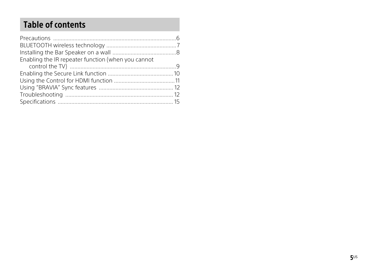# Table of contents

| Enabling the IR repeater function (when you cannot |  |
|----------------------------------------------------|--|
|                                                    |  |
|                                                    |  |
|                                                    |  |
|                                                    |  |
|                                                    |  |
|                                                    |  |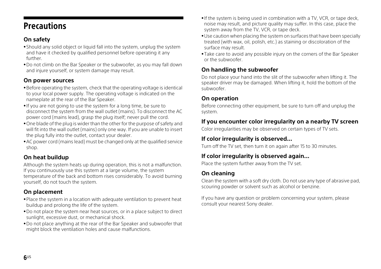# <span id="page-5-0"></span>**Precautions** Precautions

# **On safety**

- Should any solid object or liquid fall into the system, unplug the system and have it checked by qualified personnel before operating it any further.
- Do not climb on the Bar Speaker or the subwoofer, as you may fall down and injure yourself, or system damage may result.

# **On power sources**

- Before operating the system, check that the operating voltage is identical to your local power supply. The operating voltage is indicated on the nameplate at the rear of the Bar Speaker.
- If you are not going to use the system for a long time, be sure to disconnect the system from the wall outlet (mains). To disconnect the AC power cord (mains lead), grasp the plug itself; never pull the cord.
- One blade of the plug is wider than the other for the purpose of safety and will fit into the wall outlet (mains) only one way. If you are unable to insert the plug fully into the outlet, contact your dealer.
- AC power cord (mains lead) must be changed only at the qualified service shop.

# **On heat buildup**

Although the system heats up during operation, this is not a malfunction. If you continuously use this system at a large volume, the system temperature of the back and bottom rises considerably. To avoid burning yourself, do not touch the system.

# **On placement**

- Place the system in a location with adequate ventilation to prevent heat buildup and prolong the life of the system.
- Do not place the system near heat sources, or in a place subject to direct sunlight, excessive dust, or mechanical shock.
- Do not place anything at the rear of the Bar Speaker and subwoofer that might block the ventilation holes and cause malfunctions.
- If the system is being used in combination with a TV, VCR, or tape deck, noise may result, and picture quality may suffer. In this case, place the system away from the TV, VCR, or tape deck.
- Use caution when placing the system on surfaces that have been specially treated (with wax, oil, polish, etc.) as staining or discoloration of the surface may result.
- Take care to avoid any possible injury on the corners of the Bar Speaker or the subwoofer.

# **On handling the subwoofer**

Do not place your hand into the slit of the subwoofer when lifting it. The speaker driver may be damaged. When lifting it, hold the bottom of the subwoofer.

# **On operation**

Before connecting other equipment, be sure to turn off and unplug the system.

# **If you encounter color irregularity on a nearby TV screen**

Color irregularities may be observed on certain types of TV sets.

# **If color irregularity is observed...**

Turn off the TV set, then turn it on again after 15 to 30 minutes.

# **If color irregularity is observed again...**

Place the system further away from the TV set.

# **On cleaning**

Clean the system with a soft dry cloth. Do not use any type of abrasive pad, scouring powder or solvent such as alcohol or benzine.

If you have any question or problem concerning your system, please consult your nearest Sony dealer.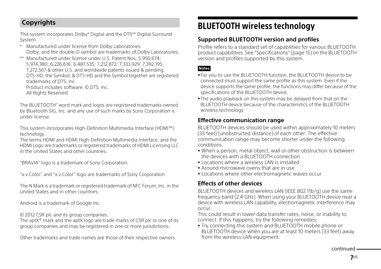# **Copyrights**

This system incorporates Dolby\* Digital and the DTS\*\* Digital Surround System.

- Manufactured under license from Dolby Laboratories. Dolby, and the double-D symbol are trademarks of Dolby Laboratories.
- \*\* Manufactured under license under U.S. Patent Nos: 5,956,674; 5,974,380; 6,226,616; 6,487,535; 7,212,872; 7,333,929; 7,392,195; 7,272,567 & other U.S. and worldwide patents issued & pending. DTS-HD, the Symbol, & DTS-HD and the Symbol together are registered trademarks of DTS, Inc.

Product includes software. © DTS, Inc.

All Rights Reserved.

The BLUETOOTH® word mark and logos are registered trademarks owned by Bluetooth SIG, Inc. and any use of such marks by Sony Corporation is under license.

This system incorporates High-Definition Multimedia Interface (HDMI™) technology.

The terms HDMI and HDMI High-Definition Multimedia Interface, and the HDMI Logo are trademarks or registered trademarks of HDMI Licensing LLC in the United States and other countries.

"BRAVIA" logo is a trademark of Sony Corporation.

"x.v.Color" and "x.v.Color" logo are trademarks of Sony Corporation.

The N Mark is a trademark or registered trademark of NFC Forum, Inc. in the United States and in other countries.

Android is a trademark of Google Inc.

© 2012 CSR plc and its group companies.

The aptX® mark and the aptX logo are trade marks of CSR plc or one of its group companies and may be registered in one or more jurisdictions.

Other trademarks and trade names are those of their respective owners.

# <span id="page-6-0"></span>BLUETOOTH wireless technology **Supported BLUETOOTH version and profiles**

Profile refers to a standard set of capabilities for various BLUETOOTH product capabilities. See ["Specifications" \(page](#page-14-0) 15) on the BLUETOOTH version and profiles supported by this system.

### **Notes**

- For you to use the BLUETOOTH function, the BLUETOOTH device to be connected must support the same profile as this system. Even if the device supports the same profile, the functions may differ because of the specifications of the BLUETOOTH device.
- The audio playback on this system may be delayed from that on the BLUETOOTH device because of the characteristics of the BLUETOOTH wireless technology.

# **Effective communication range**

BLUETOOTH devices should be used within approximately 10 meters (33 feet) (unobstructed distance) of each other. The effective communication range may become shorter under the following conditions.

- When a person, metal object, wall or other obstruction is between the devices with a BLUETOOTH connection
- Locations where a wireless LAN is installed
- Around microwave ovens that are in use
- Locations where other electromagnetic waves occur

# **Effects of other devices**

BLUETOOTH devices and wireless LAN (IEEE 802.11b/g) use the same frequency band (2.4 GHz). When using your BLUETOOTH device near a device with wireless LAN capability, electromagnetic interference may occur.

This could result in lower data transfer rates, noise, or inability to connect. If this happens, try the following remedies:

 Try connecting this system and BLUETOOTH mobile phone or BLUETOOTH device when you are at least 10 meters (33 feet) away from the wireless LAN equipment.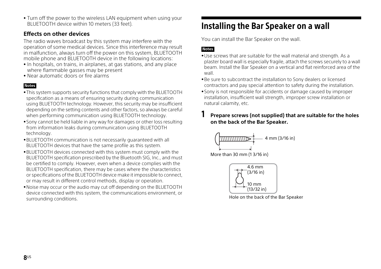Turn off the power to the wireless LAN equipment when using your BLUETOOTH device within 10 meters (33 feet).

# **Effects on other devices**

The radio waves broadcast by this system may interfere with the operation of some medical devices. Since this interference may result in malfunction, always turn off the power on this system, BLUETOOTH mobile phone and BLUETOOTH device in the following locations:

- In hospitals, on trains, in airplanes, at gas stations, and any place where flammable gasses may be present
- Near automatic doors or fire alarms

### **Notes**

- This system supports security functions that comply with the BLUETOOTH specification as a means of ensuring security during communication using BLUETOOTH technology. However, this security may be insufficient depending on the setting contents and other factors, so always be careful when performing communication using BLUETOOTH technology.
- Sony cannot be held liable in any way for damages or other loss resulting from information leaks during communication using BLUETOOTH technology.
- BLUETOOTH communication is not necessarily guaranteed with all BLUETOOTH devices that have the same profile as this system.
- BLUETOOTH devices connected with this system must comply with the BLUETOOTH specification prescribed by the Bluetooth SIG, Inc., and must be certified to comply. However, even when a device complies with the BLUETOOTH specification, there may be cases where the characteristics or specifications of the BLUETOOTH device make it impossible to connect, or may result in different control methods, display or operation.
- Noise may occur or the audio may cut off depending on the BLUETOOTH device connected with this system, the communications environment, or surrounding conditions.

<span id="page-7-0"></span>Installering the Bar Speaker on the wall.<br>You can install the Bar Speaker on the wall.

# **Notes**

- Use screws that are suitable for the wall material and strength. As a plaster board wall is especially fragile, attach the screws securely to a wall beam. Install the Bar Speaker on a vertical and flat reinforced area of the wall.
- Be sure to subcontract the installation to Sony dealers or licensed contractors and pay special attention to safety during the installation.
- Sony is not responsible for accidents or damage caused by improper installation, insufficient wall strength, improper screw installation or natural calamity, etc.

# 1 **Prepare screws (not supplied) that are suitable for the holes on the back of the Bar Speaker.**



More than 30 mm (1 3/16 in)



Hole on the back of the Bar Speaker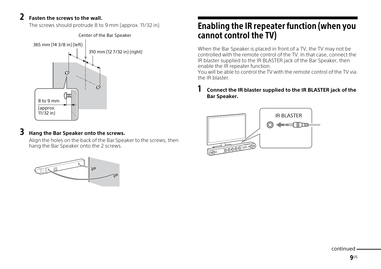2 **Fasten the screws to the wall.** The screws should protrude 8 to 9 mm (approx. 11/32 in).



**5 Hang the Bar Speaker onto the screws.**<br>Align the holes on the back of the Bar Speaker to the screws, then hang the Bar Speaker onto the 2 screws.



# <span id="page-8-0"></span>Enabling the IR repeater function (when you

cannot control the TV) When the Bar Speaker is placed in front of a TV, the TV may not be controlled with the remote control of the TV. In that case, connect the IR blaster supplied to the IR BLASTER jack of the Bar Speaker, then enable the IR repeater function.

You will be able to control the TV with the remote control of the TV via the IR blaster.

# 1 **Connect the IR blaster supplied to the IR BLASTER jack of the Bar Speaker.**



continued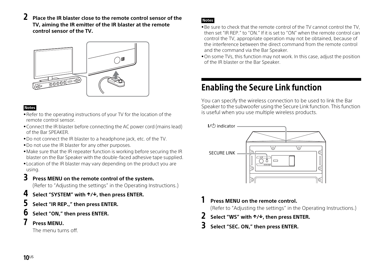2 **Place the IR blaster close to the remote control sensor of the TV, aiming the IR emitter of the IR blaster at the remote control sensor of the TV.**



### **Notes**

- Refer to the operating instructions of your TV for the location of the remote control sensor.
- Connect the IR blaster before connecting the AC power cord (mains lead) of the Bar SPEAKER.
- Do not connect the IR blaster to a headphone jack, etc. of the TV.
- Do not use the IR blaster for any other purposes.
- Make sure that the IR repeater function is working before securing the IR blaster on the Bar Speaker with the double-faced adhesive tape supplied.
- Location of the IR blaster may vary depending on the product you are using.
- 3 **Press MENU on the remote control of the system.** (Refer to "Adjusting the settings" in the Operating Instructions.)
- 4 **Select "SYSTEM" with /, then press ENTER.**
- 5 **Select "IR REP.," then press ENTER.**
- 6 **Select "ON," then press ENTER.**
- 

*Press MENU.*<br>The menu turns off.

### **Notes**

- Be sure to check that the remote control of the TV cannot control the TV, then set "IR REP." to "ON." If it is set to "ON" when the remote control can control the TV, appropriate operation may not be obtained, because of the interference between the direct command from the remote control and the command via the Bar Speaker.
- On some TVs, this function may not work. In this case, adjust the position of the IR blaster or the Bar Speaker.

<span id="page-9-0"></span>Enabline Secure Secure Connection to be used to link the Bar<br>You can specify the wireless connection to be used to link the Bar Speaker to the subwoofer using the Secure Link function. This function is useful when you use multiple wireless products.



**I** Press MENU on the remote control.<br>(Refer to "Adjusting the settings" in the Operating Instructions.)

- 2 **Select "WS" with /, then press ENTER.**
- 3 **Select "SEC. ON," then press ENTER.**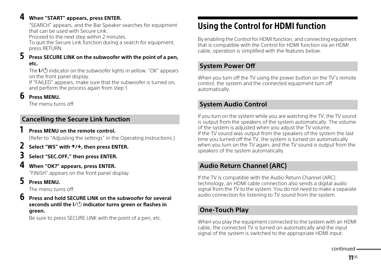4 **When "START" appears, press ENTER.** "SEARCH" appears, and the Bar Speaker searches for equipment that can be used with Secure Link.

Proceed to the next step within 2 minutes.

To quit the Secure Link function during a search for equipment, press RETURN.

# 5 **Press SECURE LINK on the subwoofer with the point of a pen, etc.**

The  $\mathsf{I}\mathsf{V}\mathsf{U}$  indicator on the subwoofer lights in yellow. "OK" appears on the front panel display.

If "FAILED" appears, make sure that the subwoofer is turned on, and perform the process again from step 1.

**D** Press MENU.<br>The menu turns off.

# **Cancelling the Secure Link function**

**I** Press MENU on the remote control.<br>(Refer to "Adjusting the settings" in the Operating Instructions.)

- 2 **Select "WS" with /, then press ENTER.**
- 

# When "OK?" appears, press ENTER. 4 **When "OK?" appears, press ENTER.** "FINISH" appears on the front panel display.

**5 Press MENU.**<br>The menu turns off.

6 **Press and hold SECURE LINK on the subwoofer for several seconds until the indicator turns green or flashes in green.**

Be sure to press SECURE LINK with the point of a pen, etc.

<span id="page-10-0"></span>Using the Control for HDMI function By enabling the Control for HDMI function, and connecting equipment that is compatible with the Control for HDMI function via an HDMI cable, operation is simplified with the features below.

# **System Power Off**

When you turn off the TV using the power button on the TV's remote control, the system and the connected equipment turn off automatically.

# **System Audio Control**

If you turn on the system while you are watching the TV, the TV sound is output from the speakers of the system automatically. The volume of the system is adjusted when you adjust the TV volume. If the TV sound was output from the speakers of the system the last time you turned off the TV, the system is turned on automatically when you turn on the TV again, and the TV sound is output from the speakers of the system automatically.

# **Audio Return Channel (ARC)**

If the TV is compatible with the Audio Return Channel (ARC) technology, an HDMI cable connection also sends a digital audio signal from the TV to the system. You do not need to make a separate audio connection for listening to TV sound from the system.

# **One-Touch Play**

When you play the equipment connected to the system with an HDMI cable, the connected TV is turned on automatically and the input signal of the system is switched to the appropriate HDMI input.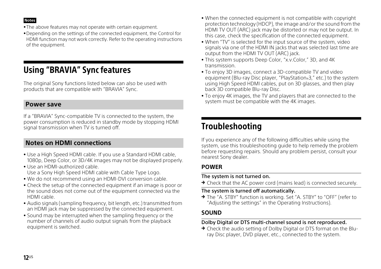**Notes**

- The above features may not operate with certain equipment.
- Depending on the settings of the connected equipment, the Control for HDMI function may not work correctly. Refer to the operating instructions of the equipment.

<span id="page-11-0"></span>USING "BRAVIA" SYNC FEATURES<br>The original Sony functions listed below can also be used with products that are compatible with "BRAVIA" Sync.

# **Power save**

If a "BRAVIA" Sync-compatible TV is connected to the system, the power consumption is reduced in standby mode by stopping HDMI signal transmission when TV is turned off.

# **Notes on HDMI connections**

- Use a High Speed HDMI cable. If you use a Standard HDMI cable, 1080p, Deep Color, or 3D/4K images may not be displayed properly.
- Use an HDMI-authorized cable. Use a Sony High Speed HDMI cable with Cable Type Logo.
- We do not recommend using an HDMI-DVI conversion cable.
- Check the setup of the connected equipment if an image is poor or the sound does not come out of the equipment connected via the HDMI cable.
- Audio signals (sampling frequency, bit length, etc.) transmitted from an HDMI jack may be suppressed by the connected equipment.
- Sound may be interrupted when the sampling frequency or the number of channels of audio output signals from the playback equipment is switched.
- When the connected equipment is not compatible with copyright protection technology (HDCP), the image and/or the sound from the HDMI TV OUT (ARC) jack may be distorted or may not be output. In this case, check the specification of the connected equipment.
- When "TV" is selected for the input source of the system, video signals via one of the HDMI IN jacks that was selected last time are output from the HDMI TV OUT (ARC) jack.
- This system supports Deep Color, "x.v.Color," 3D, and 4K transmission.
- To enjoy 3D images, connect a 3D-compatible TV and video equipment (Blu-ray Disc player, "PlayStation®3," etc.) to the system using High Speed HDMI cables, put on 3D glasses, and then play back 3D compatible Blu-ray Disc.
- To enjoy 4K images, the TV and players that are connected to the system must be compatible with the 4K images.

<span id="page-11-1"></span>If you experience any of the following difficulties while using the system, use this troubleshooting guide to help remedy the problem before requesting repairs. Should any problem persist, consult your nearest Sony dealer.

# **POWER**

## The system is not turned on.

→ Check that the AC power cord (mains lead) is connected securely.

# The system is turned off automatically.

→ The "A. STBY" function is working. Set "A. STBY" to "OFF" (refer to "Adjusting the settings" in the Operating Instructions).

# **SOUND**

# Dolby Digital or DTS multi-channel sound is not reproduced.

→ Check the audio setting of Dolby Digital or DTS format on the Bluray Disc player, DVD player, etc., connected to the system.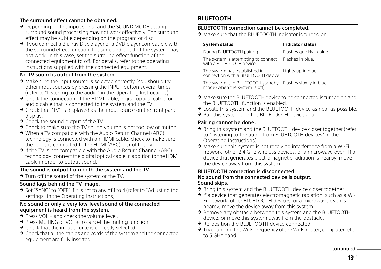## The surround effect cannot be obtained.

- → Depending on the input signal and the SOUND MODE setting. surround sound processing may not work effectively. The surround effect may be subtle depending on the program or disc.
- $\rightarrow$  If you connect a Blu-ray Disc player or a DVD player compatible with the surround effect function, the surround effect of the system may not work. In this case, set the surround effect function of the connected equipment to off. For details, refer to the operating instructions supplied with the connected equipment.

# No TV sound is output from the system.

- → Make sure the input source is selected correctly. You should try other input sources by pressing the INPUT button several times (refer to "Listening to the audio" in the Operating Instructions).
- → Check the connection of the HDMI cable, digital optical cable, or audio cable that is connected to the system and the TV.
- → Check that "TV" is displayed as the input source on the front panel display.
- $\rightarrow$  Check the sound output of the TV.
- → Check to make sure the TV sound volume is not too low or muted.
- → When a TV compatible with the Audio Return Channel (ARC) technology is connected with an HDMI cable, check to make sure the cable is connected to the HDMI (ARC) jack of the TV.
- → If the TV is not compatible with the Audio Return Channel (ARC) technology, connect the digital optical cable in addition to the HDMI cable in order to output sound.

# The sound is output from both the system and the TV.

 $\rightarrow$  Turn off the sound of the system or the TV.

# Sound lags behind the TV image.

→ Set "SYNC" to "OFF" if it is set to any of 1 to 4 (refer to "Adjusting the settings" in the Operating Instructions).

## No sound or only a very low-level sound of the connected equipment is heard from the system.

- $\rightarrow$  Press VOL + and check the volume level.
- → Press MUTING or VOL + to cancel the muting function.
- → Check that the input source is correctly selected.
- → Check that all the cables and cords of the system and the connected equipment are fully inserted.

# **BLUETOOTH**

# BLUETOOTH connection cannot be completed.

 $\rightarrow$  Make sure that the BLUETOOTH indicator is turned on.

| <b>System status</b>                                                | <b>Indicator status</b>  |
|---------------------------------------------------------------------|--------------------------|
| During BLUETOOTH pairing                                            | Flashes quickly in blue. |
| The system is attempting to connect<br>with a BLUETOOTH device      | Flashes in blue.         |
| The system has established in<br>connection with a BLUETOOTH device | Lights up in blue.       |
| The system is in BLUETOOTH standby<br>mode (when the system is off) | Flashes slowly in blue.  |

- $\rightarrow$  Make sure the BLUETOOTH device to be connected is turned on and the BLUETOOTH function is enabled.
- → Locate this system and the BLUETOOTH device as near as possible.
- → Pair this system and the BLUETOOTH device again.

# Pairing cannot be done.

- $\rightarrow$  Bring this system and the BLUETOOTH device closer together (refer to "Listening to the audio from BLUETOOTH devices" in the Operating Instructions).
- $\rightarrow$  Make sure this system is not receiving interference from a Wi-Fi network, other 2.4 GHz wireless devices, or a microwave oven. If a device that generates electromagnetic radiation is nearby, move the device away from this system.

### BLUETOOTH connection is disconnected. No sound from the connected device is output. Sound skips.

- → Bring this system and the BLUETOOTH device closer together.
- $\rightarrow$  If a device that generates electromagnetic radiation, such as a Wi-Fi network, other BLUETOOTH devices, or a microwave oven is nearby, move the device away from this system.
- → Remove any obstacle between this system and the BLUETOOTH device, or move this system away from the obstacle.
- → Re-position the BLUETOOTH device connected.
- → Try changing the Wi-Fi frequency of the Wi-Fi router, computer, etc., to 5 GHz band.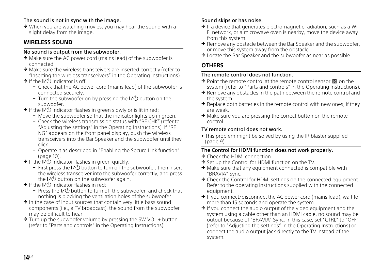## The sound is not in sync with the image.

 $\rightarrow$  When you are watching movies, you may hear the sound with a slight delay from the image.

# **WIRELESS SOUND**

## No sound is output from the subwoofer.

- → Make sure the AC power cord (mains lead) of the subwoofer is connected.
- $\rightarrow$  Make sure the wireless transceivers are inserted correctly (refer to "Inserting the wireless transceivers" in the Operating Instructions).
- $\rightarrow$  If the I/ $\circ$  indicator is off:
	- Check that the AC power cord (mains lead) of the subwoofer is connected securely.
	- Turn the subwoofer on by pressing the  $\mathsf{I}\mathsf{V}\mathsf{O}$  button on the subwoofer.
- $\rightarrow$  If the I/ $\circlearrowleft$  indicator flashes in green slowly or is lit in red:
	- Move the subwoofer so that the indicator lights up in green.
	- Check the wireless transmission status with "RF CHK" (refer to "Adjusting the settings" in the Operating Instructions). If "RF NG" appears on the front panel display, push the wireless transceivers into the Bar Speaker and the subwoofer until they click.
	- Operate it as described in "Enabling the Secure Link function" [\(page](#page-9-0) 10).
- $\rightarrow$  If the  $\overline{I}$  indicator flashes in green quickly:
	- $-$  First press the  $\mathsf{L}(0)$  button to turn off the subwoofer, then insert the wireless transceiver into the subwoofer correctly, and press the  $\mathsf{I}\mathsf{Z}\mathsf{U}$  button on the subwoofer again.
- $\rightarrow$  If the I/ $\circ$  indicator flashes in red:
	- Press the  $\mathsf{L}(1)$  button to turn off the subwoofer, and check that nothing is blocking the ventilation holes of the subwoofer.
- $\rightarrow$  In the case of input sources that contain very little bass sound components (i.e., a TV broadcast), the sound from the subwoofer may be difficult to hear.
- → Turn up the subwoofer volume by pressing the SW VOL + button (refer to "Parts and controls" in the Operating Instructions).

### Sound skips or has noise.

- $\rightarrow$  If a device that generates electromagnetic radiation, such as a Wi-Fi network, or a microwave oven is nearby, move the device away from this system.
- $\rightarrow$  Remove any obstacle between the Bar Speaker and the subwoofer. or move this system away from the obstacle.
- $\rightarrow$  Locate the Bar Speaker and the subwoofer as near as possible.

# **OTHERS**

# The remote control does not function.

- $\rightarrow$  Point the remote control at the remote control sensor  $\mathbb{R}$  on the system (refer to "Parts and controls" in the Operating Instructions).
- $\rightarrow$  Remove any obstacles in the path between the remote control and the system.
- $\rightarrow$  Replace both batteries in the remote control with new ones, if they are weak.
- → Make sure you are pressing the correct button on the remote control.

## TV remote control does not work.

 This problem might be solved by using the IR blaster supplied ([page](#page-8-0) 9).

## The Control for HDMI function does not work properly.

- → Check the HDMI connection.
- $\rightarrow$  Set up the Control for HDMI function on the TV.
- $\rightarrow$  Make sure that any equipment connected is compatible with "BRAVIA" Sync.
- → Check the Control for HDMI settings on the connected equipment. Refer to the operating instructions supplied with the connected equipment.
- $\rightarrow$  If you connect/disconnect the AC power cord (mains lead), wait for more than 15 seconds and operate the system.
- $\rightarrow$  If you connect the audio output of the video equipment and the system using a cable other than an HDMI cable, no sound may be output because of "BRAVIA" Sync. In this case, set "CTRL" to "OFF" (refer to "Adjusting the settings" in the Operating Instructions) or connect the audio output jack directly to the TV instead of the system.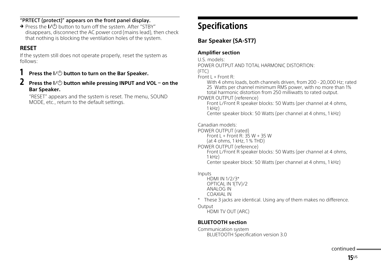# "PRTECT (protect)" appears on the front panel display.

 $\rightarrow$  Press the  $\mathsf{L}(1)$  button to turn off the system. After "STBY" disappears, disconnect the AC power cord (mains lead), then check that nothing is blocking the ventilation holes of the system.

# **RESET**

If the system still does not operate properly, reset the system as follows:

# **1** Press the I/① button to turn on the Bar Speaker.<br>2 Press the I/(<sup>1</sup>) button while pressing INPHT and \

2 **Press the button while pressing INPUT and VOL on the Bar Speaker.** 

"RESET" appears and the system is reset. The menu, SOUND MODE, etc., return to the default settings.

# <span id="page-14-0"></span>Specifications

# **Bar Speaker (SA-ST7)**

# **Amplifier section**

U.S. models:

POWER OUTPUT AND TOTAL HARMONIC DISTORTION:

(FTC)

Front  $L$  + Front R:

With 4 ohms loads, both channels driven, from 200 - 20,000 Hz; rated 25 Watts per channel minimum RMS power, with no more than 1% total harmonic distortion from 250 milliwatts to rated output.

POWER OUTPUT (reference)

Front L/Front R speaker blocks: 50 Watts (per channel at 4 ohms, 1 kHz)

Center speaker block: 50 Watts (per channel at 4 ohms, 1 kHz)

Canadian models:

POWER OUTPUT (rated)

Front L + Front R: 35 W + 35 W

(at 4 ohms, 1 kHz, 1 % THD)

POWER OUTPUT (reference)

Front L/Front R speaker blocks: 50 Watts (per channel at 4 ohms, 1 kHz) Center speaker block: 50 Watts (per channel at 4 ohms, 1 kHz)

Inputs

HDMI IN 1/2/3\* OPTICAL IN 1(TV)/2 ANALOG IN COAXIAL IN

\* These 3 jacks are identical. Using any of them makes no difference.

**Output** 

HDMI TV OUT (ARC)

# **BLUETOOTH section**

Communication system BLUETOOTH Specification version 3.0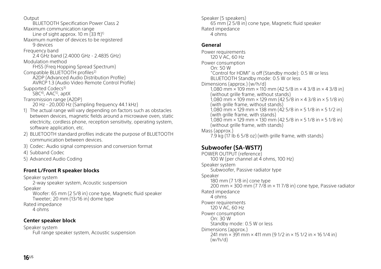Output

BLUETOOTH Specification Power Class 2 Maximum communication range Line of sight approx. 10 m  $(33 ft)^{1}$ Maximum number of devices to be registered 9 devices Frequency band 2.4 GHz band (2.4000 GHz - 2.4835 GHz) Modulation method FHSS (Freq Hopping Spread Spectrum) Compatible BLUETOOTH profiles2) A2DP (Advanced Audio Distribution Profile) AVRCP 1.3 (Audio Video Remote Control Profile) Supported Codecs<sup>3)</sup> SBC<sup>4)</sup>, AAC<sup>5)</sup>, aptX Transmission range (A2DP) 20 Hz - 20,000 Hz (Sampling frequency 44.1 kHz) 1) The actual range will vary depending on factors such as obstacles between devices, magnetic fields around a microwave oven, static electricity, cordless phone, reception sensitivity, operating system, software application, etc.

- 2) BLUETOOTH standard profiles indicate the purpose of BLUETOOTH communication between devices.
- 3) Codec: Audio signal compression and conversion format
- 4) Subband Codec
- 5) Advanced Audio Coding

# **Front L/Front R speaker blocks**

Speaker system 2-way speaker system, Acoustic suspension Speaker Woofer: 65 mm (2 5/8 in) cone type, Magnetic fluid speaker Tweeter; 20 mm (13/16 in) dome type

Rated impedance 4 ohms

# **Center speaker block**

Speaker system Full range speaker system, Acoustic suspension Speaker (5 speakers) 65 mm (2 5/8 in) cone type, Magnetic fluid speaker Rated impedance 4 ohms

## **General**

Power requirements 120 V AC, 60 Hz Power consumption On: 50 W "Control for HDMI" is off (Standby mode): 0.5 W or less BLUETOOTH Standby mode: 0.5 W or less Dimensions (approx.) (w/h/d) 1,080 mm × 109 mm × 110 mm (42 5/8 in × 4 3/8 in × 4 3/8 in) (without grille frame, without stands) 1,080 mm × 109 mm × 129 mm (42 5/8 in × 4 3/8 in × 5 1/8 in) (with grille frame, without stands) 1,080 mm × 129 mm × 138 mm (42 5/8 in × 5 1/8 in × 5 1/2 in) (with grille frame, with stands) 1,080 mm × 129 mm × 130 mm (42 5/8 in × 5 1/8 in × 5 1/8 in) (without grille frame, with stands) Mass (approx.)

7.9 kg (17 Ib 6 5/8 oz) (with grille frame, with stands)

# **Subwoofer (SA-WST7)**

POWER OUTPUT (reference) 100 W (per channel at 4 ohms, 100 Hz) Speaker system Subwoofer, Passive radiator type Speaker 180 mm (7 1/8 in) cone type 200 mm × 300 mm (7 7/8 in × 11 7/8 in) cone type, Passive radiator Rated impedance 4 ohms Power requirements 120 V AC, 60 Hz Power consumption On: 30 W Standby mode: 0.5 W or less Dimensions (approx.) 241 mm × 391 mm × 411 mm (9 1/2 in × 15 1/2 in × 16 1/4 in) (w/h/d)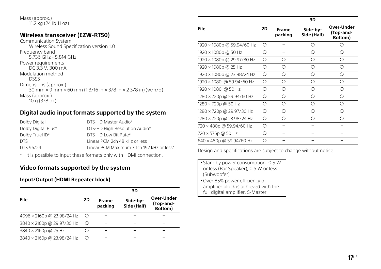### Mass (approx.) 11.2 kg (24 Ib 11 oz)

# **Wireless transceiver (EZW-RT50)**

Communication System Wireless Sound Specification version 1.0 Frequency band 5.736 GHz - 5.814 GHz Power requirements DC 3.3 V, 300 mA Modulation method DSSS Dimensions (approx.) 30 mm  $\times$  9 mm  $\times$  60 mm (1 3/16 in  $\times$  3/8 in  $\times$  2 3/8 in) (w/h/d) Mass (approx.)  $10 \text{ q}$   $(3/8 \text{ oz})$ 

# **Digital audio input formats supported by the system**

| Dolby Digital       | DTS-HD Master Audio*                      |
|---------------------|-------------------------------------------|
| Dolby Digital Plus* | DTS-HD High Resolution Audio*             |
| Dolby TrueHD*       | DTS-HD Low Bit Rate*                      |
| DTS.                | Linear PCM 2ch 48 kHz or less             |
| DTS 96/24           | Linear PCM Maximum 7.1ch 192 kHz or less* |
|                     |                                           |

\* It is possible to input these formats only with HDMI connection.

# **Video formats supported by the system**

## **Input/Output (HDMI Repeater block)**

|                            |         |                  | 3D                      |                                    |
|----------------------------|---------|------------------|-------------------------|------------------------------------|
| File                       | 2D      | Frame<br>packing | Side-by-<br>Side (Half) | Over-Under<br>(Top-and-<br>Bottom) |
| 4096 × 2160p @ 23.98/24 Hz | $\circ$ |                  |                         |                                    |
| 3840 × 2160p @ 29.97/30 Hz | O       |                  |                         |                                    |
| 3840 × 2160p @ 25 Hz       |         |                  |                         |                                    |
| 3840 × 2160p @ 23.98/24 Hz | O       |                  |                         |                                    |

|                            |    |                  | 3D                      |                                    |
|----------------------------|----|------------------|-------------------------|------------------------------------|
| <b>File</b>                | 2D | Frame<br>packing | Side-by-<br>Side (Half) | Over-Under<br>(Top-and-<br>Bottom) |
| 1920 × 1080p @ 59.94/60 Hz | O  |                  | Ο                       | ∩                                  |
| 1920 × 1080p @ 50 Hz       | ◯  |                  | Ω                       | ∩                                  |
| 1920 × 1080p @ 29.97/30 Hz | ∩  | ∩                | ∩                       | ∩                                  |
| 1920 × 1080p @ 25 Hz       | ∩  | Ο                | Ω                       | ∩                                  |
| 1920 × 1080p @ 23.98/24 Hz | О  | Ο                | Ο                       | ∩                                  |
| 1920 × 1080i @ 59.94/60 Hz | ◯  | О                | О                       | ∩                                  |
| 1920 × 1080i @ 50 Hz       | ∩  | О                | ∩                       | ∩                                  |
| 1280 × 720p @ 59.94/60 Hz  | ∩  | Ω                | Ω                       | ∩                                  |
| 1280 × 720p @ 50 Hz        | ∩  | Ω                | ∩                       | ∩                                  |
| 1280 × 720p @ 29.97/30 Hz  | О  | Ο                | ∩                       | ∩                                  |
| 1280 × 720p @ 23.98/24 Hz  | ∩  | Ω                | ∩                       | ∩                                  |
| 720 × 480p @ 59.94/60 Hz   | ◯  |                  |                         |                                    |
| 720 × 576p @ 50 Hz         | ∩  |                  |                         |                                    |
| 640 × 480p @ 59.94/60 Hz   | ∩  |                  |                         |                                    |

Design and specifications are subject to change without notice.

- Standby power consumption: 0.5 W or less (Bar Speaker), 0.5 W or less (Subwoofer) Over 85% power efficiency of
- amplifier block is achieved with the full digital amplifier, S-Master.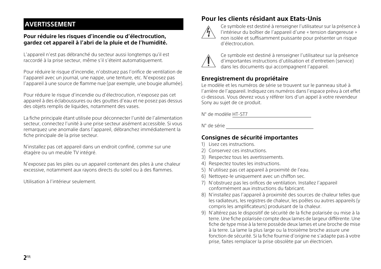# **AVERTISSEMENT**

### **Pour réduire les risques d'incendie ou d'électrocution, gardez cet appareil à l'abri de la pluie et de l'humidité.**

L'appareil n'est pas débranché du secteur aussi longtemps qu'il est raccordé à la prise secteur, même s'il s'éteint automatiquement.

Pour réduire le risque d'incendie, n'obstruez pas l'orifice de ventilation de l'appareil avec un journal, une nappe, une tenture, etc. N'exposez pas l'appareil à une source de flamme nue (par exemple, une bougie allumée).

Pour réduire le risque d'incendie ou d'électrocution, n'exposez pas cet appareil à des éclaboussures ou des gouttes d'eau et ne posez pas dessus des objets remplis de liquides, notamment des vases.

La fiche principale étant utilisée pour déconnecter l'unité de l'alimentation secteur, connectez l'unité à une prise secteur aisément accessible. Si vous remarquez une anomalie dans l'appareil, débranchez immédiatement la fiche principale de la prise secteur.

N'installez pas cet appareil dans un endroit confiné, comme sur une étagère ou un meuble TV intégré.

N'exposez pas les piles ou un appareil contenant des piles à une chaleur excessive, notamment aux rayons directs du soleil ou à des flammes.

Utilisation à l'intérieur seulement.

# **Pour les clients résidant aux Etats-Unis**



Ce symbole est destiné à renseigner l'utilisateur sur la présence à l'intérieur du boîtier de l'appareil d'une « tension dangereuse » non isolée et suffisamment puissante pour présenter un risque d'électrocution.



Ce symbole est destiné à renseigner l'utilisateur sur la présence d'importantes instructions d'utilisation et d'entretien (service) dans les documents qui accompagnent l'appareil.

# **Enregistrement du propriétaire**

Le modèle et les numéros de série se trouvent sur le panneau situé à l'arrière de l'appareil. Indiquez ces numéros dans l'espace prévu à cet effet ci-dessous. Vous devrez vous y référer lors d'un appel à votre revendeur Sony au sujet de ce produit.

N° de modèle HT-ST7

N° de série

# **Consignes de sécurité importantes**

- 1) Lisez ces instructions.
- 2) Conservez ces instructions.
- 3) Respectez tous les avertissements.
- 4) Respectez toutes les instructions.
- 5) N'utilisez pas cet appareil à proximité de l'eau.
- 6) Nettoyez-le uniquement avec un chiffon sec.
- 7) N'obstruez pas les orifices de ventilation. Installez l'appareil conformément aux instructions du fabricant.
- 8) N'installez pas l'appareil à proximité des sources de chaleur telles que les radiateurs, les registres de chaleur, les poêles ou autres appareils (y compris les amplificateurs) produisant de la chaleur.
- 9) N'altérez pas le dispositif de sécurité de la fiche polarisée ou mise à la terre. Une fiche polarisée compte deux lames de largeur différente. Une fiche de type mise à la terre possède deux lames et une broche de mise à la terre. La lame la plus large ou la troisième broche assure une fonction de sécurité. Si la fiche fournie d'origine ne s'adapte pas à votre prise, faites remplacer la prise obsolète par un électricien.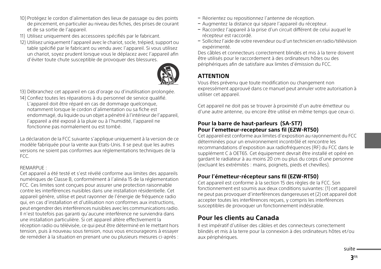- 10) Protégez le cordon d'alimentation des lieux de passage ou des points de pincement, en particulier au niveau des fiches, des prises de courant et de sa sortie de l'appareil.
- 11) Utilisez uniquement des accessoires spécifiés par le fabricant.
- 12) Utilisez uniquement l'appareil avec le chariot, socle, trépied, support ou table spécifié par le fabricant ou vendu avec l'appareil. Si vous utilisez un chariot, soyez prudent lorsque vous le déplacez avec l'appareil afin d'éviter toute chute susceptible de provoquer des blessures.



13) Débranchez cet appareil en cas d'orage ou d'inutilisation prolongée.

14) Confiez toutes les réparations à du personnel de service qualifié. L'appareil doit être réparé en cas de dommage quelconque, notamment lorsque le cordon d'alimentation ou sa fiche est endommagé, du liquide ou un objet a pénétré à l'intérieur de l'appareil, l'appareil a été exposé à la pluie ou à l'humidité, l'appareil ne fonctionne pas normalement ou est tombé.

La déclaration de la FCC suivante s'applique uniquement à la version de ce modèle fabriquée pour la vente aux Etats-Unis. Il se peut que les autres versions ne soient pas conformes aux réglementations techniques de la FCC.

### REMARPUE :

Cet appareil a été testé et s'est révélé conforme aux limites des appareils numériques de Classe B, conformément à l'alinéa 15 de la réglementation FCC. Ces limites sont conçues pour assurer une protection raisonnable contre les interférences nuisibles dans une installation résidentielle. Cet appareil génère, utilise et peut rayonner de l'énergie de fréquence radio qui, en cas d'installation et d'utilisation non conformes aux instructions, peut engendrer des interférences nuisibles avec les communications radio. Il n'est toutefois pas garanti qu'aucune interférence ne surviendra dans une installation particulière. Si cet appareil altère effectivement la réception radio ou télévisée, ce qui peut être déterminé en le mettant hors tension, puis à nouveau sous tension, nous vous encourageons à essayer de remédier à la situation en prenant une ou plusieurs mesures ci-après :

- Réorientez ou repositionnez l'antenne de réception.
- Augmentez la distance qui sépare l'appareil du récepteur.
- Raccordez l'appareil à la prise d'un circuit différent de celui auquel le récepteur est raccordé.
- Sollicitez l'aide de votre revendeur ou d'un technicien en radio/télévision expérimenté.

Des câbles et connecteurs correctement blindés et mis à la terre doivent être utilisés pour le raccordement à des ordinateurs hôtes ou des périphériques afin de satisfaire aux limites d'émission du FCC.

# **ATTENTION**

Vous êtes prévenu que toute modification ou changement non expressément approuvé dans ce manuel peut annuler votre autorisation à utiliser cet appareil.

Cet appareil ne doit pas se trouver à proximité d'un autre émetteur ou d'une autre antenne, ou encore être utilisé en même temps que ceux-ci.

### **Pour la barre de haut-parleurs (SA-ST7) Pour l'emetteur-recepteur sans fil (EZW-RT50)**

Cet appareil est conforme aux limites d'exposition au rayonnement du FCC déterminées pour un environnement incontrôlé et rencontre les recommandations d'exposition aux radiofréquences (RF) du FCC dans le supplément C à OET65. Cet équipement devrait être installé et opéré en gardant le radiateur à au moins 20 cm ou plus du corps d'une personne (excluant les extrémités : mains, poignets, pieds et chevilles).

# **Pour l'émetteur-récepteur sans fil (EZW-RT50)**

Cet appareil est conforme à la section 15 des règles de la FCC. Son fonctionnement est soumis aux deux conditions suivantes: (1) cet appareil ne peut pas provoquer d'interférences dangereuses et (2) cet appareil doit accepter toutes les interférences reçues, y compris les interférences susceptibles de provoquer un fonctionnement indésirable.

# **Pour les clients au Canada**

Il est impératif d'utiliser des câbles et des connecteurs correctement blindés et mis à la terre pour la connexion à des ordinateurs hôtes et/ou aux périphériques.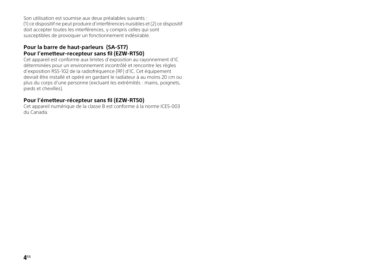Son utilisation est soumise aux deux préalables suivants : (1) ce dispositif ne peut produire d'interférences nuisibles et (2) ce dispositif doit accepter toutes les interférences, y compris celles qui sont susceptibles de provoquer un fonctionnement indésirable.

# **Pour la barre de haut-parleurs (SA-ST7) Pour l'emetteur-recepteur sans fil (EZW-RT50)**

Cet appareil est conforme aux limites d'exposition au rayonnement d'IC déterminées pour un environnement incontrôlé et rencontre les règles d'exposition RSS-102 de la radiofréquence (RF) d'IC. Cet équipement devrait être installé et opéré en gardant le radiateur à au moins 20 cm ou plus du corps d'une personne (excluant les extrémités : mains, poignets, pieds et chevilles).

# **Pour l'émetteur-récepteur sans fil (EZW-RT50)**

Cet appareil numérique de la classe B est conforme à la norme ICES-003 du Canada.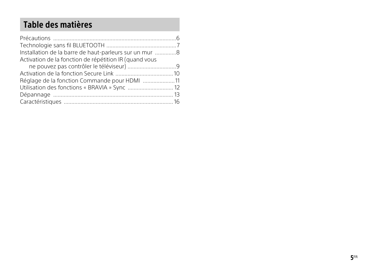| Installation de la barre de haut-parleurs sur un mur 8 |  |
|--------------------------------------------------------|--|
| Activation de la fonction de répétition IR (quand vous |  |
|                                                        |  |
|                                                        |  |
| Réglage de la fonction Commande pour HDMI 11           |  |
| Utilisation des fonctions « BRAVIA » Sync  12          |  |
|                                                        |  |
|                                                        |  |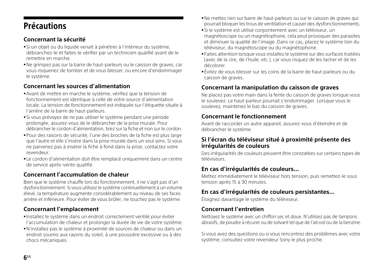# <span id="page-21-0"></span>Précautions

# Précautions **Concernant la sécurité**

- Si un objet ou du liquide venait à pénétrer à l'intérieur du système, débranchez-le et faites-le vérifier par un technicien qualifié avant de le remettre en marche.
- Ne grimpez pas sur la barre de haut-parleurs ou le caisson de graves, car vous risqueriez de tomber et de vous blesser, ou encore d'endommager le système.

# **Concernant les sources d'alimentation**

- Avant de mettre en marche le système, vérifiez que la tension de fonctionnement est identique à celle de votre source d'alimentation locale. La tension de fonctionnement est indiquée sur l'étiquette située à l'arrière de la barre de haut-parleurs.
- Si vous prévoyez de ne pas utiliser le système pendant une période prolongée, assurez-vous de le débrancher de la prise murale. Pour débrancher le cordon d'alimentation, tirez sur la fiche et non sur le cordon.
- Pour des raisons de sécurité, l'une des broches de la fiche est plus large que l'autre et elle s'insère dans la prise murale dans un seul sens. Si vous ne parvenez pas à insérer la fiche à fond dans la prise, contactez votre revendeur.
- Le cordon d'alimentation doit être remplacé uniquement dans un centre de service après-vente qualifié.

# **Concernant l'accumulation de chaleur**

Bien que le système chauffe lors du fonctionnement, il ne s'agit pas d'un dysfonctionnement. Si vous utilisez le système continuellement à un volume élevé, la température augmente considérablement au niveau de ses faces arrière et inférieure. Pour éviter de vous brûler, ne touchez pas le système.

# **Concernant l'emplacement**

- Installez le système dans un endroit correctement ventilé pour éviter l'accumulation de chaleur et prolonger la durée de vie de votre système.
- N'installez pas le système à proximité de sources de chaleur ou dans un endroit soumis aux rayons du soleil, à une poussière excessive ou à des chocs mécaniques.
- Ne mettez rien sur barre de haut-parleurs ou sur le caisson de graves qui pourrait bloquer les trous de ventilation et causer des dysfonctionnements.
- Si le système est utilisé conjointement avec un téléviseur, un magnétoscope ou un magnétophone, cela peut provoquer des parasites et diminuer la qualité de l'image. Dans ce cas, placez le système loin du téléviseur, du magnétoscope ou du magnétophone.
- Faites attention lorsque vous installez le système sur des surfaces traitées (avec de la cire, de l'huile, etc.), car vous risquez de les tacher et de les décolorer.
- Évitez de vous blesser sur les coins de la barre de haut-parleurs ou du caisson de graves.

# **Concernant la manipulation du caisson de graves**

Ne placez pas votre main dans la fente du caisson de graves lorsque vous le soulevez. Le haut-parleur pourrait s'endommager. Lorsque vous le soulevez, maintenez le bas du caisson de graves.

# **Concernant le fonctionnement**

Avant de raccorder un autre appareil, assurez-vous d'éteindre et de débrancher le système.

## **Si l'écran du téléviseur situé à proximité présente des irrégularités de couleurs**

Des irrégularités de couleurs peuvent être constatées sur certains types de téléviseurs.

# **En cas d'irrégularités de couleurs...**

Mettez immédiatement le téléviseur hors tension, puis remettez-le sous tension après 15 à 30 minutes.

# **En cas d'irrégularités de couleurs persistantes...**

Éloignez davantage le système du téléviseur.

# **Concernant l'entretien**

Nettoyez le système avec un chiffon sec et doux. N'utilisez pas de tampons abrasifs, de poudre à récurer ou de solvant tel que de l'alcool ou de la benzine.

Si vous avez des questions ou si vous rencontrez des problèmes avec votre système, consultez votre revendeur Sony le plus proche.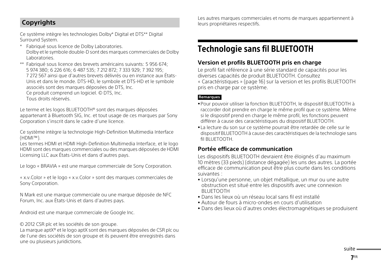# **Copyrights**

Ce système intègre les technologies Dolby\* Digital et DTS\*\* Digital Surround System.

- Fabriqué sous licence de Dolby Laboratories. Dolby et le symbole double-D sont des marques commerciales de Dolby Laboratories.
- \*\* Fabriqué sous licence des brevets américains suivants: 5 956 674; 5 974 380; 6 226 616; 6 487 535; 7 212 872; 7 333 929; 7 392 195; 7 272 567 ainsi que d'autres brevets délivrés ou en instance aux États-Unis et dans le monde. DTS-HD, le symbole et DTS-HD et le symbole associés sont des marques déposées de DTS, Inc. Ce produit comprend un logiciel. © DTS, Inc.

Tous droits réservés.

Le terme et les logos BLUETOOTH® sont des marques déposées appartenant à Bluetooth SIG, Inc. et tout usage de ces marques par Sony Corporation s'inscrit dans le cadre d'une licence.

Ce système intègre la technologie High-Definition Multimedia Interface (HDMI™).

Les termes HDMI et HDMI High-Definition Multimedia Interface, et le logo HDMI sont des marques commerciales ou des marques déposées de HDMI Licensing LLC aux États-Unis et dans d'autres pays.

Le logo « BRAVIA » est une marque commerciale de Sony Corporation.

« x.v.Color » et le logo « x.v.Color » sont des marques commerciales de Sony Corporation.

N Mark est une marque commerciale ou une marque déposée de NFC Forum, Inc. aux États-Unis et dans d'autres pays.

Android est une marque commerciale de Google Inc.

© 2012 CSR plc et les sociétés de son groupe.

La marque aptX® et le logo aptX sont des marques déposées de CSR plc ou de l'une des sociétés de son groupe et ils peuvent être enregistrés dans une ou plusieurs juridictions.

Les autres marques commerciales et noms de marques appartiennent à leurs propriétaires respectifs.

# <span id="page-22-0"></span>Technologie sans fil BLUETOOTH **Version et profils BLUETOOTH pris en charge**

Le profil fait référence à une série standard de capacités pour les diverses capacités de produit BLUETOOTH. Consultez [« Caractéristiques » \(page](#page-31-0) 16) sur la version et les profils BLUETOOTH pris en charge par ce système.

### **Remarques**

- Pour pouvoir utiliser la fonction BLUETOOTH, le dispositif BLUETOOTH à raccorder doit prendre en charge le même profil que ce système. Même si le dispositif prend en charge le même profil, les fonctions peuvent différer à cause des caractéristiques du dispositif BLUETOOTH.
- La lecture du son sur ce système pourrait être retardée de celle sur le dispositif BLUETOOTH à cause des caractéristiques de la technologie sans fil BLUETOOTH.

# **Portée efficace de communication**

Les dispositifs BLUETOOTH devraient être éloignés d'au maximum 10 mètres (33 pieds) (distance dégagée) les uns des autres. La portée efficace de communication peut être plus courte dans les conditions suivantes :

- Lorsqu'une personne, un objet métallique, un mur ou une autre obstruction est situé entre les dispositifs avec une connexion BLUETOOTH
- Dans les lieux où un réseau local sans fil est installé
- Autour de fours à micro-ondes en cours d'utilisation
- Dans des lieux où d'autres ondes électromagnétiques se produisent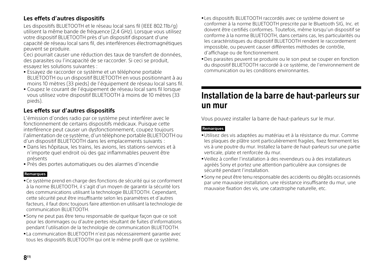# **Les effets d'autres dispositifs**

Les dispositifs BLUETOOTH et le réseau local sans fil (IEEE 802.11b/g) utilisent la même bande de fréquence (2,4 GHz). Lorsque vous utilisez votre dispositif BLUETOOTH près d'un dispositif disposant d'une capacité de réseau local sans fil, des interférences électromagnétiques peuvent se produire.

Ceci pourrait causer une réduction des taux de transfert de données, des parasites ou l'incapacité de se raccorder. Si ceci se produit, essayez les solutions suivantes :

- Essayez de raccorder ce système et un téléphone portable BLUETOOTH ou un dispositif BLUETOOTH en vous positionnant à au moins 10 mètres (33 pieds) de l'équipement de réseau local sans fil.
- Coupez le courant de l'équipement de réseau local sans fil lorsque vous utilisez votre dispositif BLUETOOTH à moins de 10 mètres (33 pieds).

# **Les effets sur d'autres dispositifs**

L'émission d'ondes radio par ce système peut interférer avec le fonctionnement de certains dispositifs médicaux. Puisque cette interférence peut causer un dysfonctionnement, coupez toujours l'alimentation de ce système, d'un téléphone portable BLUETOOTH ou d'un dispositif BLUETOOTH dans les emplacements suivants :

- Dans les hôpitaux, les trains, les avions, les stations-services et à n'importe quel endroit où des gaz inflammables peuvent être présents
- Près des portes automatiques ou des alarmes d'incendie

### **Remarques**

- Ce système prend en charge des fonctions de sécurité qui se conforment à la norme BLUETOOTH, il s'agit d'un moyen de garantir la sécurité lors des communications utilisant la technologie BLUETOOTH. Cependant, cette sécurité peut être insuffisante selon les paramètres et d'autres facteurs, il faut donc toujours faire attention en utilisant la technologie de communication BLUETOOTH.
- Sony ne peut pas être tenu responsable de quelque façon que ce soit pour les dommages ou d'autre pertes résultant de fuites d'informations pendant l'utilisation de la technologie de communication BLUETOOTH.
- La communication BLUETOOTH n'est pas nécessairement garantie avec tous les dispositifs BLUETOOTH qui ont le même profil que ce système.
- Les dispositifs BLUETOOTH raccordés avec ce système doivent se conformer à la norme BLUETOOTH prescrite par le Bluetooth SIG, Inc. et doivent être certifiés conformes. Toutefois, même lorsqu'un dispositif se conforme à la norme BLUETOOTH, dans certains cas, les particularités ou les caractéristiques du dispositif BLUETOOTH rendent le raccordement impossible, ou peuvent causer différentes méthodes de contrôle, d'affichage ou de fonctionnement.
- Des parasites peuvent se produire ou le son peut se couper en fonction du dispositif BLUETOOTH raccordé à ce système, de l'environnement de communication ou les conditions environnantes.

# <span id="page-23-0"></span>Installation de la barre de haut-parleurs sur

.<br>Vous pouvez installer la barre de haut-parleurs sur le mur.

### **Remarques**

- Utilisez des vis adaptées au matériau et à la résistance du mur. Comme les plaques de plâtre sont particulièrement fragiles, fixez fermement les vis à une poutre du mur. Installez la barre de haut-parleurs sur une partie verticale, plate et renforcée du mur.
- Veillez à confier l'installation à des revendeurs ou à des installateurs agréés Sony et portez une attention particulière aux consignes de sécurité pendant l'installation.
- Sony ne peut être tenu responsable des accidents ou dégâts occasionnés par une mauvaise installation, une résistance insuffisante du mur, une mauvaise fixation des vis, une catastrophe naturelle, etc.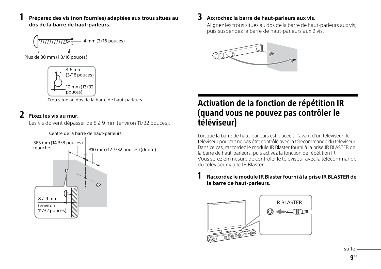## 1 **Préparez des vis (non fournies) adaptées aux trous situés au dos de la barre de haut-parleurs.**





Trou situé au dos de la barre de haut-parleurs

2 **Fixez les vis au mur.** Les vis doivent dépasser de 8 à 9 mm (environ 11/32 pouces).



### Centre de la barre de haut-parleurs

3 **Accrochez la barre de haut-parleurs aux vis.** Alignez les trous situés au dos de la barre de haut-parleurs aux vis, puis suspendez la barre de haut-parleurs aux 2 vis.



# <span id="page-24-0"></span>Activation de la fonction de répétition IR téléviseur)

téléviseur d'un grons.<br>Lorsque la barre de haut-parleurs est placée à l'avant d'un téléviseur, le téléviseur pourrait ne pas être contrôlé avec la télécommande du téléviseur. Dans ce cas, raccordez le module IR Blaster fourni à la prise IR BLASTER de la barre de haut-parleurs, puis activez la fonction de répétition IR. Vous serez en mesure de contrôler le téléviseur avec la télécommande du téléviseur via le IR Blaster.

# 1 **Raccordez le module IR Blaster fourni à la prise IR BLASTER de la barre de haut-parleurs.**

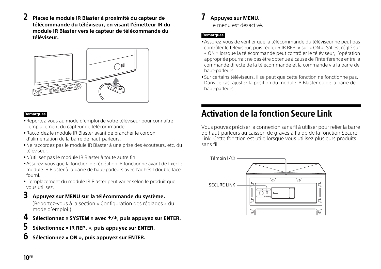- 
- 2 **Placez le module IR Blaster à proximité du capteur de télécommande du téléviseur, en visant l'émetteur IR du module IR Blaster vers le capteur de télécommande du téléviseur.**



### **Remarques**

- Reportez-vous au mode d'emploi de votre téléviseur pour connaître l'emplacement du capteur de télécommande.
- Raccordez le module IR Blaster avant de brancher le cordon d'alimentation de la barre de haut-parleurs.
- Ne raccordez pas le module IR Blaster à une prise des écouteurs, etc. du téléviseur.
- N'utilisez pas le module IR Blaster à toute autre fin.
- Assurez-vous que la fonction de répétition IR fonctionne avant de fixer le module IR Blaster à la barre de haut-parleurs avec l'adhésif double face fourni.
- L'emplacement du module IR Blaster peut varier selon le produit que vous utilisez.
- 

3 **Appuyez sur MENU sur la télécommande du système.** (Reportez-vous à la section « Configuration des réglages » du mode d'emploi.)

- 4 **Sélectionnez « SYSTEM » avec /, puis appuyez sur ENTER.**
- 5 **Sélectionnez « IR REP. », puis appuyez sur ENTER.**
- 6 **Sélectionnez « ON », puis appuyez sur ENTER.**

7 **Appuyez sur MENU.** Le menu est désactivé.

### **Remarques**

- Assurez-vous de vérifier que la télécommande du téléviseur ne peut pas contrôler le téléviseur, puis réglez « IR REP. » sur « ON ». S'il est réglé sur « ON » lorsque la télécommande peut contrôler le téléviseur, l'opération appropriée pourrait ne pas être obtenue à cause de l'interférence entre la commande directe de la télécommande et la commande via la barre de haut-parleurs.
- Sur certains téléviseurs, il se peut que cette fonction ne fonctionne pas. Dans ce cas, ajustez la position du module IR Blaster ou de la barre de haut-parleurs.

# <span id="page-25-0"></span>**Activation de la fonction Secure Link**

Activation de la fonction Secure Link Vous pouvez préciser la connexion sans fil à utiliser pour relier la barre de haut-parleurs au caisson de graves à l'aide de la fonction Secure Link. Cette fonction est utile lorsque vous utilisez plusieurs produits sans fil.

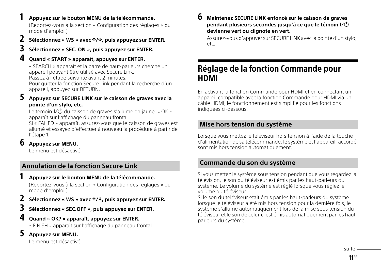1 **Appuyez sur le bouton MENU de la télécommande.** (Reportez-vous à la section « Configuration des réglages » du mode d'emploi.)

# 2 **Sélectionnez « WS » avec /, puis appuyez sur ENTER.**

# 3 **Sélectionnez « SEC. ON », puis appuyez sur ENTER.**

4 **Quand « START » apparaît, appuyez sur ENTER.** « SEARCH » apparaît et la barre de haut-parleurs cherche un appareil pouvant être utilisé avec Secure Link.

Passez à l'étape suivante avant 2 minutes.

Pour quitter la fonction Secure Link pendant la recherche d'un appareil, appuyez sur RETURN.

# 5 **Appuyez sur SECURE LINK sur le caisson de graves avec la pointe d'un stylo, etc.**

Le témoin  $\mathsf{I}/\mathsf{C}$  du caisson de graves s'allume en jaune. « OK » apparaît sur l'affichage du panneau frontal.

Si « FAILED » apparaît, assurez-vous que le caisson de graves est allumé et essayez d'effectuer à nouveau la procédure à partir de l'étape 1.

6 **Appuyez sur MENU.** Le menu est désactivé.

# **Annulation de la fonction Secure Link**

1 **Appuyez sur le bouton MENU de la télécommande.** (Reportez-vous à la section « Configuration des réglages » du mode d'emploi.)

- 2 **Sélectionnez « WS » avec /, puis appuyez sur ENTER.**
- Sélectionnez « SEC.OFF », puis appuyez sur ENTER.<br>Quand « OK? » apparaît, appuyez sur ENTER.
- 4 **Quand « OK? » apparaît, appuyez sur ENTER.** « FINISH » apparaît sur l'affichage du panneau frontal.
- 5 **Appuyez sur MENU.**

Le menu est désactivé.

6 **Maintenez SECURE LINK enfoncé sur le caisson de graves pendant plusieurs secondes jusqu'à ce que le témoin devienne vert ou clignote en vert.**

Assurez-vous d'appuyer sur SECURE LINK avec la pointe d'un stylo, etc.

# <span id="page-26-0"></span>Réglage de la fonction Commande pour

en activant la fonction Commande pour HDMI et en connectant un<br>En activant la fonction Commande pour HDMI et en connectant un appareil compatible avec la fonction Commande pour HDMI via un câble HDMI, le fonctionnement est simplifié pour les fonctions indiquées ci-dessous.

# **Mise hors tension du système**

Lorsque vous mettez le téléviseur hors tension à l'aide de la touche d'alimentation de sa télécommande, le système et l'appareil raccordé sont mis hors tension automatiquement.

# **Commande du son du système**

Si vous mettez le système sous tension pendant que vous regardez la télévision, le son du téléviseur est émis par les haut-parleurs du système. Le volume du système est réglé lorsque vous réglez le volume du téléviseur.

Si le son du téléviseur était émis par les haut-parleurs du système lorsque le téléviseur a été mis hors tension pour la dernière fois, le système s'allume automatiquement lors de la mise sous tension du téléviseur et le son de celui-ci est émis automatiquement par les hautparleurs du système.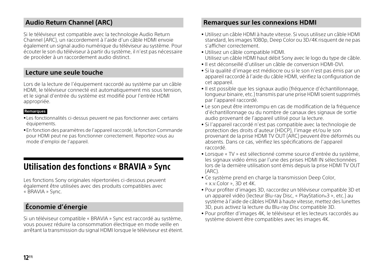# **Audio Return Channel (ARC)**

Si le téléviseur est compatible avec la technologie Audio Return Channel (ARC), un raccordement à l'aide d'un câble HDMI envoie également un signal audio numérique du téléviseur au système. Pour écouter le son du téléviseur à partir du système, il n'est pas nécessaire de procéder à un raccordement audio distinct.

# **Lecture une seule touche**

Lors de la lecture de l'équipement raccordé au système par un câble HDMI, le téléviseur connecté est automatiquement mis sous tension, et le signal d'entrée du système est modifié pour l'entrée HDMI appropriée.

### **Remarques**

- Les fonctionnalités ci-dessus peuvent ne pas fonctionner avec certains équipements.
- En fonction des paramètres de l'appareil raccordé, la fonction Commande pour HDMI peut ne pas fonctionner correctement. Reportez-vous au mode d'emploi de l'appareil.

<span id="page-27-0"></span>Les fonctions Sony originales répertoriées ci-dessous peuvent<br>Les fonctions Sony originales répertoriées ci-dessous peuvent également être utilisées avec des produits compatibles avec « BRAVIA » Sync.

# **Économie d'énergie**

Si un téléviseur compatible « BRAVIA » Sync est raccordé au système, vous pouvez réduire la consommation électrique en mode veille en arrêtant la transmission du signal HDMI lorsque le téléviseur est éteint.

# **Remarques sur les connexions HDMI**

- Utilisez un câble HDMI à haute vitesse. Si vous utilisez un câble HDMI standard, les images 1080p, Deep Color ou 3D/4K risquent de ne pas s'afficher correctement.
- Utilisez un câble compatible HDMI. Utilisez un câble HDMI haut débit Sony avec le logo du type de câble.
- Il est déconseillé d'utiliser un câble de conversion HDMI-DVI.
- Si la qualité d'image est médiocre ou si le son n'est pas émis par un appareil raccordé à l'aide du câble HDMI, vérifiez la configuration de cet appareil.
- Il est possible que les signaux audio (fréquence d'échantillonnage, longueur binaire, etc.) transmis par une prise HDMI soient supprimés par l'appareil raccordé.
- Le son peut être interrompu en cas de modification de la fréquence d'échantillonnage ou du nombre de canaux des signaux de sortie audio provenant de l'appareil utilisé pour la lecture.
- Si l'appareil raccordé n'est pas compatible avec la technologie de protection des droits d'auteur (HDCP), l'image et/ou le son provenant de la prise HDMI TV OUT (ARC) peuvent être déformés ou absents. Dans ce cas, vérifiez les spécifications de l'appareil raccordé.
- Lorsque « TV » est sélectionné comme source d'entrée du système, les signaux vidéo émis par l'une des prises HDMI IN sélectionnées lors de la dernière utilisation sont émis depuis la prise HDMI TV OUT (ARC).
- Ce système prend en charge la transmission Deep Color, « x.v.Color », 3D et 4K.
- Pour profiter d'images 3D, raccordez un téléviseur compatible 3D et un appareil vidéo (lecteur Blu-ray Disc, « PlayStation®3 », etc.) au système à l'aide de câbles HDMI à haute vitesse, mettez des lunettes 3D, puis activez la lecture du Blu-ray Disc compatible 3D.
- Pour profiter d'images 4K, le téléviseur et les lecteurs raccordés au système doivent être compatibles avec les images 4K.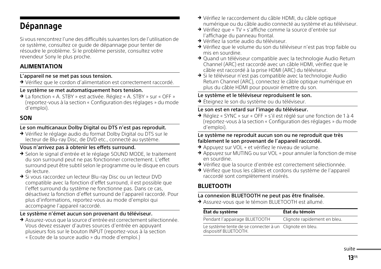<span id="page-28-0"></span>e de presses y entre des difficultés suivantes lors de l'utilisation de la<br>Si vous rencontrez l'une des difficultés suivantes lors de l'utilisation de ce système, consultez ce guide de dépannage pour tenter de résoudre le problème. Si le problème persiste, consultez votre revendeur Sony le plus proche.

# **ALIMENTATION**

### L'appareil ne se met pas sous tension.

Vérifiez que le cordon d'alimentation est correctement raccordé.

### Le système se met automatiquement hors tension.

→ La fonction « A. STBY » est activée. Réglez « A. STBY » sur « OFF » (reportez-vous à la section « Configuration des réglages » du mode d'emploi).

# **SON**

# Le son multicanaux Dolby Digital ou DTS n'est pas reproduit.

 Vérifiez le réglage audio du format Dolby Digital ou DTS sur le lecteur de Blu-ray Disc, de DVD etc., connecté au système.

## Vous n'arrivez pas à obtenir les effets surround.

- → Selon le signal d'entrée et le réglage SOUND MODE, le traitement du son surround peut ne pas fonctionner correctement. L'effet surround peut être subtil selon le programme ou le disque en cours de lecture.
- → Si vous raccordez un lecteur Blu-ray Disc ou un lecteur DVD compatible avec la fonction d'effet surround, il est possible que l'effet surround du système ne fonctionne pas. Dans ce cas, désactivez la fonction d'effet surround de l'appareil raccordé. Pour plus d'informations, reportez-vous au mode d'emploi qui accompagne l'appareil raccordé.

## Le système n'émet aucun son provenant du téléviseur.

- Assurez-vous que la source d'entrée est correctement sélectionnée. Vous devez essayer d'autres sources d'entrée en appuyant plusieurs fois sur le bouton INPUT (reportez-vous à la section
	- « Ecoute de la source audio » du mode d'emploi.)
- Vérifiez le raccordement du câble HDMI, du câble optique numérique ou du câble audio connecté au système et au téléviseur.
- → Vérifiez que « TV » s'affiche comme la source d'entrée sur l'affichage du panneau frontal.
- ◆ Vérifiez la sortie audio du téléviseur.
- → Vérifiez que le volume du son du téléviseur n'est pas trop faible ou mis en sourdine.
- → Quand un téléviseur compatible avec la technologie Audio Return Channel (ARC) est raccordé avec un câble HDMI, vérifiez que le câble est raccordé à la prise HDMI (ARC) du téléviseur.
- → Si le téléviseur n'est pas compatible avec la technologie Audio Return Channel (ARC), connectez le câble optique numérique en plus du câble HDMI pour pouvoir émettre du son.

### Le système et le téléviseur reproduisent le son.

→ Éteignez le son du système ou du téléviseur.

## Le son est en retard sur l'image du téléviseur.

→ Réglez « SYNC » sur « OFF » s'il est réglé sur une fonction de 1 à 4 (reportez-vous à la section « Configuration des réglages » du mode d'emploi).

### Le système ne reproduit aucun son ou ne reproduit que très faiblement le son provenant de l'appareil raccordé.

- → Appuyez sur VOL + et vérifiez le niveau de volume.
- → Appuyez sur MUTING ou sur VOL + pour annuler la fonction de mise en sourdine.
- Vérifiez que la source d'entrée est correctement sélectionnée.
- Vérifiez que tous les câbles et cordons du système de l'appareil raccordé sont complètement insérés.

# **BLUETOOTH**

## La connexion BLUETOOTH ne peut pas être finalisée.

Assurez-vous que le témoin BLUETOOTH est allumé.

| État du système                                                                  | État du témoin               |
|----------------------------------------------------------------------------------|------------------------------|
| Pendant l'appairage BLUETOOTH                                                    | Clignote rapidement en bleu. |
| Le système tente de se connecter à un Clignote en bleu.<br>dispositif BLUETOOTH. |                              |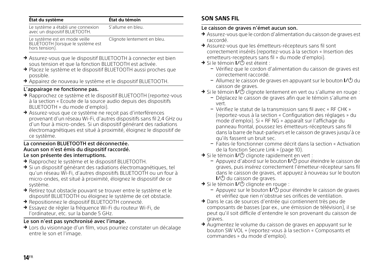| État du système                                                                      | État du témoin              |
|--------------------------------------------------------------------------------------|-----------------------------|
| Le système a établi une connexion<br>avec un dispositif BLUETOOTH.                   | S'allume en bleu.           |
| Le système est en mode veille<br>BLUETOOTH (lorsque le système est<br>hors tension). | Clignote lentement en bleu. |

- Assurez-vous que le dispositif BLUETOOTH à connecter est bien sous tension et que la fonction BLUETOOTH est activée.
- → Placez le système et le dispositif BLUETOOTH aussi proches que possible.
- Appairez de nouveau le système et le dispositif BLUETOOTH.

## L'appairage ne fonctionne pas.

- → Rapprochez ce système et le dispositif BLUETOOTH (reportez-vous à la section « Ecoute de la source audio depuis des dispositifs BLUETOOTH » du mode d'emploi).
- Assurez-vous que ce système ne reçoit pas d'interférences provenant d'un réseau Wi-Fi, d'autres dispositifs sans fil 2,4 GHz ou d'un four à micro-ondes. Si un dispositif générant des radiations électromagnétiques est situé à proximité, éloignez le dispositif de ce système.

### La connexion BLUETOOTH est déconnectée. Aucun son n'est émis du dispositif raccordé. Le son présente des interruptions.

- → Rapprochez le système et le dispositif BLUETOOTH.
- $\rightarrow$  Si un dispositif générant des radiations électromagnétiques, tel qu'un réseau Wi-Fi, d'autres dispositifs BLUETOOTH ou un four à micro-ondes, est situé à proximité, éloignez le dispositif de ce système.
- Retirez tout obstacle pouvant se trouver entre le système et le dispositif BLUETOOTH ou éloignez le système de cet obstacle.
- → Repositionnez le dispositif BLUETOOTH connecté.
- Essayez de régler la fréquence Wi-Fi du routeur Wi-Fi, de l'ordinateur, etc. sur la bande 5 GHz.

# Le son n'est pas synchronisé avec l'image.

→ Lors du visionnage d'un film, vous pourriez constater un décalage entre le son et l'image.

# **SON SANS FIL**

# Le caisson de graves n'émet aucun son.

- Assurez-vous que le cordon d'alimentation du caisson de graves est raccordé.
- Assurez-vous que les émetteurs-récepteurs sans fil sont correctement insérés (reportez-vous à la section « Insertion des emetteurs-recepteurs sans fil » du mode d'emploi).
- $\rightarrow$  Si le témoin  $V^{(1)}$  est éteint :
	- Vérifiez que le cordon d'alimentation du caisson de graves est correctement raccordé.
	- Allumez le caisson de graves en appuyant sur le bouton  $\mathsf{I}\mathsf{V}\mathsf{O}$  du caisson de graves.
- $\rightarrow$  Si le témoin  $\overline{L}$  clignote lentement en vert ou s'allume en rouge :
	- Déplacez le caisson de graves afin que le témoin s'allume en vert.
	- Vérifiez le statut de la transmission sans fil avec « RF CHK » (reportez-vous à la section « Configuration des réglages » du mode d'emploi). Si « RF NG » apparaît sur l'affichage du panneau frontal, poussez les émetteurs-récepteurs sans fil dans la barre de haut-parleurs et le caisson de graves jusqu'à ce qu'ils fassent un bruit sec.
	- Faites-le fonctionner comme décrit dans la section [« Activation](#page-25-0)  [de la fonction Secure Link » \(page 10\)](#page-25-0).
- Si le témoin I/ $\circlearrowleft$  clignote rapidement en vert :
	- $-$  Appuyez d'abord sur le bouton  $\mathsf{I}\mathsf{Z}\mathsf{O}$  pour éteindre le caisson de graves, puis insérez correctement l'émetteur-récepteur sans fil dans le caisson de graves, et appuyez à nouveau sur le bouton  $\mathsf{I}$  $\mathsf{Z}^{(1)}$  du caisson de graves.
- $\rightarrow$  Si le témoin  $\mathsf{L}(1)$  clignote en rouge :
	- $-$  Appuyez sur le bouton  $V^{(1)}$  pour éteindre le caisson de graves et vérifiez que rien n'obstrue ses orifices de ventilation.
- Dans le cas de sources d'entrée qui contiennent très peu de composants de basses (par ex., une émission de télévision), il se peut qu'il soit difficile d'entendre le son provenant du caisson de graves.
- Augmentez le volume du caisson de graves en appuyant sur le bouton SW VOL + (reportez-vous à la section « Composants et commandes » du mode d'emploi).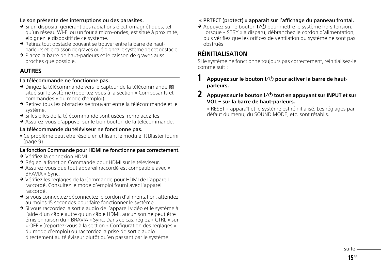### Le son présente des interruptions ou des parasites.

- Si un dispositif générant des radiations électromagnétiques, tel qu'un réseau Wi-Fi ou un four à micro-ondes, est situé à proximité, éloignez le dispositif de ce système.
- → Retirez tout obstacle pouvant se trouver entre la barre de hautparleurs et le caisson de graves ou éloignez le système de cet obstacle.
- → Placez la barre de haut-parleurs et le caisson de graves aussi proches que possible.

# **AUTRES**

### La télécommande ne fonctionne pas.

- Dirigez la télécommande vers le capteur de la télécommande  $\blacksquare$ situé sur le système (reportez-vous à la section « Composants et commandes » du mode d'emploi).
- Retirez tous les obstacles se trouvant entre la télécommande et le système.
- → Si les piles de la télécommande sont usées, remplacez-les.
- Assurez-vous d'appuyer sur le bon bouton de la télécommande.

### La télécommande du téléviseur ne fonctionne pas.

 Ce problème peut être résolu en utilisant le module IR Blaster fourni [\(page](#page-24-0) 9).

### La fonction Commande pour HDMI ne fonctionne pas correctement.

- Vérifiez la connexion HDMI.
- → Réglez la fonction Commande pour HDMI sur le téléviseur.
- Assurez-vous que tout appareil raccordé est compatible avec « BRAVIA » Sync.
- Vérifiez les réglages de la Commande pour HDMI de l'appareil raccordé. Consultez le mode d'emploi fourni avec l'appareil raccordé.
- Si vous connectez/déconnectez le cordon d'alimentation, attendez au moins 15 secondes pour faire fonctionner le système.
- → Si vous raccordez la sortie audio de l'appareil vidéo et le système à l'aide d'un câble autre qu'un câble HDMI, aucun son ne peut être émis en raison du « BRAVIA » Sync. Dans ce cas, réglez « CTRL » sur « OFF » (reportez-vous à la section « Configuration des réglages » du mode d'emploi) ou raccordez la prise de sortie audio directement au téléviseur plutôt qu'en passant par le système.

## « PRTECT (protect) » apparaît sur l'affichage du panneau frontal.

Appuyez sur le bouton  $V^{(1)}$  pour mettre le système hors tension. Lorsque « STBY » a disparu, débranchez le cordon d'alimentation, puis vérifiez que les orifices de ventilation du système ne sont pas obstrués.

# **RÉINITIALISATION**

Si le système ne fonctionne toujours pas correctement, réinitialisez-le comme suit :

# Appuyez sur le bouton  $I/\bigcup$  pour activer la barre de haut**parleurs.**

## Appuyez sur le bouton  $I/\bigcup$  tout en appuyant sur INPUT et sur **VOL sur la barre de haut-parleurs.**

« RESET » apparaît et le système est réinitialisé. Les réglages par défaut du menu, du SOUND MODE, etc. sont rétablis.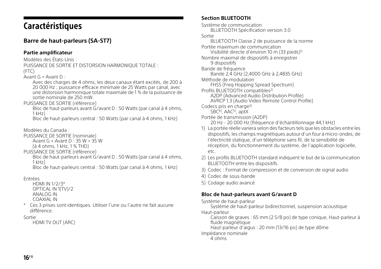# <span id="page-31-0"></span>Caractéristiques

# **Barre de haut-parleurs (SA-ST7)**

# **Partie amplificateur**

Modèles des États-Unis :

PUISSANCE DE SORTIE ET DISTORSION HARMONIQUE TOTALE : (FTC)

Avant G + Avant D :

Avec des charges de 4 ohms, les deux canaux étant excités, de 200 à 20 000 Hz ; puissance efficace minimale de 25 Watts par canal, avec une distorsion harmonique totale maximale de 1 % de la puissance de sortie nominale de 250 mW.

### PUISSANCE DE SORTIE (référence)

Bloc de haut-parleurs avant  $G/$ avant D : 50 Watts (par canal à 4 ohms,  $1$  kHz $)$ 

Bloc de haut-parleurs central : 50 Watts (par canal à 4 ohms, 1 kHz)

Modèles du Canada :

- PUISSANCE DE SORTIE (nominale)
	- Avant G + Avant D : 35 W + 35 W

(à 4 ohms, 1 kHz, 1 % THD)

PUISSANCE DE SORTIE (référence)

Bloc de haut-parleurs avant G/avant D : 50 Watts (par canal à 4 ohms, 1 kHz)

Bloc de haut-parleurs central : 50 Watts (par canal à 4 ohms, 1 kHz)

Entrées

HDMI IN 1/2/3\* OPTICAL IN 1(TV)/2 ANALOG IN COAXIAL IN

\* Ces 3 prises sont identiques. Utiliser l'une ou l'autre ne fait aucune différence.

### Sortie

HDMI TV OUT (ARC)

# **Section BLUETOOTH**

Système de communication BLUETOOTH Spécification version 3.0 Sortie BLUETOOTH Classe 2 de puissance de la norme Portée maximum de communication Visibilité directe d'environ 10 m (33 pieds)1) Nombre maximal de dispositifs à enregistrer 9 dispositifs Bande de fréquence Bande 2,4 GHz (2,4000 GHz à 2,4835 GHz) Méthode de modulation FHSS (Freq Hopping Spread Spectrum) Profils BLUETOOTH compatibles<sup>2)</sup> A2DP (Advanced Audio Distribution Profile) AVRCP 1.3 (Audio Video Remote Control Profile) Codecs pris en charge3) SBC<sup>4</sup>), AAC<sup>5</sup>), aptX Portée de transmission (A2DP) 20 Hz - 20 000 Hz (fréquence d'échantillonnage 44,1 kHz) 1) La portée réelle variera selon des facteurs tels que les obstacles entre les

- dispositifs, les champs magnétiques autour d'un four à micro-ondes, de l'électricité statique, d'un téléphone sans fil, de la sensibilité de réception, du fonctionnement du système, de l'application logicielle, etc.
- 2) Les profils BLUETOOTH standard indiquent le but de la communication BLUETOOTH entre les dispositifs.
- 3) Codec : Format de compression et de conversion de signal audio
- 4) Codec de sous-bande
- 5) Codage audio avancé

# **Bloc de haut-parleurs avant G/avant D**

Système de haut-parleur

Système de haut-parleur bidirectionnel, suspension acoustique

Haut-parleur

Caisson de graves : 65 mm (2 5/8 po) de type conique, Haut-parleur à fluide magnétique

Haut-parleur d'aigus : 20 mm (13/16 po) de type dôme

Impédance nominale

4 ohms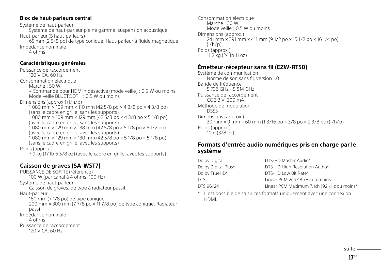### **Bloc de haut-parleurs central**

Système de haut-parleur Système de haut-parleur pleine gamme, suspension acoustique Haut-parleur (5 haut-parleurs) 65 mm (2 5/8 po) de type conique, Haut-parleur à fluide magnétique Impédance nominale 4 ohms

### **Caractéristiques générales**

Puissance de raccordement 120 V CA, 60 Hz Consommation électrique Marche : 50 W « Commande pour HDMI » désactivé (mode veille) : 0,5 W ou moins Mode veille BLUETOOTH : 0,5 W ou moins Dimensions (approx.) (l/h/p) 1 080 mm × 109 mm × 110 mm (42 5/8 po × 4 3/8 po × 4 3/8 po) (sans le cadre en grille, sans les supports)  $1080$  mm  $\times$  109 mm  $\times$  129 mm (42 5/8 po  $\times$  4 3/8 po  $\times$  5 1/8 po) (avec le cadre en grille, sans les supports) 1 080 mm × 129 mm × 138 mm (42 5/8 po × 5 1/8 po × 5 1/2 po) (avec le cadre en grille, avec les supports) 1 080 mm × 129 mm × 130 mm (42 5/8 po × 5 1/8 po × 5 1/8 po) (sans le cadre en grille, avec les supports) Poids (approx.) 7,9 kg (17 Ib 6 5/8 oz) (avec le cadre en grille, avec les supports)

# **Caisson de graves (SA-WST7)**

PUISSANCE DE SORTIE (référence) 100 W (par canal à 4 ohms, 100 Hz) Système de haut-parleur Caisson de graves, de type à radiateur passif Haut-parleur 180 mm (7 1/8 po) de type conique 200 mm × 300 mm (7 7/8 po × 11 7/8 po) de type conique, Radiateur passif Impédance nominale 4 ohms Puissance de raccordement 120 V CA, 60 Hz

Consommation électrique Marche : 30 W Mode veille : 0,5 W ou moins Dimensions (approx.)  $241$  mm  $\times$  391 mm  $\times$  411 mm (9 1/2 po  $\times$  15 1/2 po  $\times$  16 1/4 po)  $\left(\frac{|}{h}\right)$ Poids (approx.) 11,2 kg (24 Ib 11 oz)

# **Émetteur-récepteur sans fil (EZW-RT50)**

Système de communication Norme de son sans fil, version 1.0 Bande de fréquence 5,736 GHz - 5,814 GHz Puissance de raccordement CC 3,3 V, 300 mA Méthode de modulation DSSS Dimensions (approx.)  $30 \text{ mm} \times 9 \text{ mm} \times 60 \text{ mm}$  (1 3/16 po  $\times$  3/8 po  $\times$  2 3/8 po) (l/h/p) Poids (approx.)  $10 \text{ g} (3/8 \text{ oz})$ 

# **Formats d'entrée audio numériques pris en charge par le système**

| Dolby Digital       | DTS-HD Master Audio*                       |
|---------------------|--------------------------------------------|
| Dolby Digital Plus* | DTS-HD High Resolution Audio*              |
| Dolby TrueHD*       | DTS-HD Low Bit Rate*                       |
| DTS.                | Linear PCM 2ch 48 kHz ou moins             |
| DTS 96/24           | Linear PCM Maximum 7.1ch 192 kHz ou moins* |
|                     |                                            |

\* Il est possible de saisir ces formats uniquement avec une connexion HDMI.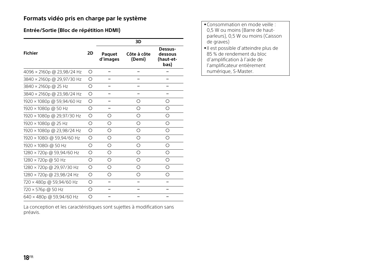# **Formats vidéo pris en charge par le système**

# **Entrée/Sortie (Bloc de répétition HDMI)**

|                            |            |                    | 3D                    |                                         |
|----------------------------|------------|--------------------|-----------------------|-----------------------------------------|
| <b>Fichier</b>             | 2D         | Paquet<br>d'images | Côte à côte<br>(Demi) | Dessus-<br>dessous<br>(haut-et-<br>bas) |
| 4096 × 2160p @ 23,98/24 Hz | О          |                    |                       |                                         |
| 3840 × 2160p @ 29,97/30 Hz | Ω          |                    |                       |                                         |
| 3840 × 2160p @ 25 Hz       | Ω          |                    |                       |                                         |
| 3840 × 2160p @ 23,98/24 Hz | O          |                    |                       |                                         |
| 1920 × 1080p @ 59,94/60 Hz | Ω          |                    | ∩                     | ∩                                       |
| 1920 × 1080p @ 50 Hz       | Ο          |                    | ∩                     | ∩                                       |
| 1920 × 1080p @ 29,97/30 Hz | O          | O                  | Ω                     | $\bigcirc$                              |
| 1920 × 1080p @ 25 Hz       | Ω          | Ο                  | Ω                     | О                                       |
| 1920 × 1080p @ 23,98/24 Hz | О          | О                  | Ο                     | Ο                                       |
| 1920 × 1080i @ 59,94/60 Hz | $\bigcirc$ | O                  | Ω                     | $\bigcirc$                              |
| 1920 × 1080i @ 50 Hz       | Ω          | Ο                  | Ω                     | ∩                                       |
| 1280 × 720p @ 59,94/60 Hz  | О          | О                  | Ο                     | Ο                                       |
| 1280 × 720p @ 50 Hz        | $\bigcirc$ | O                  | Ω                     | $\bigcirc$                              |
| 1280 × 720p @ 29,97/30 Hz  | Ο          | Ο                  | Ω                     | ∩                                       |
| 1280 × 720p @ 23,98/24 Hz  | $\bigcirc$ | Ω                  | Ω                     | Ω                                       |
| 720 × 480p @ 59,94/60 Hz   | ∩          |                    |                       |                                         |
| 720 × 576p @ 50 Hz         | О          |                    |                       |                                         |
| 640 × 480p @ 59,94/60 Hz   | Ω          |                    |                       |                                         |

La conception et les caractéristiques sont sujettes à modification sans préavis.

| • Consommation en mode veille :<br>0.5 W ou moins (Barre de haut-<br>parleurs), 0,5 W ou moins (Caisson |
|---------------------------------------------------------------------------------------------------------|
| de graves)                                                                                              |
| •Il est possible d'atteindre plus de                                                                    |
| 85 % de rendement du bloc                                                                               |
| d'amplification à l'aide de                                                                             |
| l'amplificateur entièrement<br>numérique, S-Master.                                                     |
|                                                                                                         |